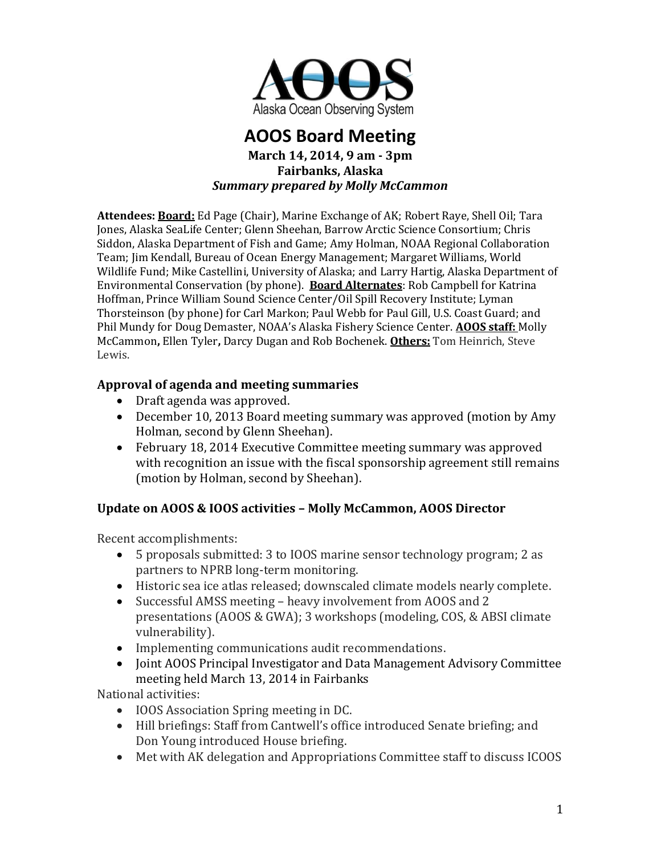

# **AOOS Board Meeting**

#### **March 14, 2014, 9 am - 3pm Fairbanks, Alaska** *Summary prepared by Molly McCammon*

**Attendees: Board:** Ed Page (Chair), Marine Exchange of AK; Robert Raye, Shell Oil; Tara Jones, Alaska SeaLife Center; Glenn Sheehan, Barrow Arctic Science Consortium; Chris Siddon, Alaska Department of Fish and Game; Amy Holman, NOAA Regional Collaboration Team; Jim Kendall, Bureau of Ocean Energy Management; Margaret Williams, World Wildlife Fund; Mike Castellini, University of Alaska; and Larry Hartig, Alaska Department of Environmental Conservation (by phone). **Board Alternates**: Rob Campbell for Katrina Hoffman, Prince William Sound Science Center/Oil Spill Recovery Institute; Lyman Thorsteinson (by phone) for Carl Markon; Paul Webb for Paul Gill, U.S. Coast Guard; and Phil Mundy for Doug Demaster, NOAA's Alaska Fishery Science Center. **AOOS staff:** Molly McCammon**,** Ellen Tyler**,** Darcy Dugan and Rob Bochenek. **Others:** Tom Heinrich, Steve Lewis.

## **Approval of agenda and meeting summaries**

- Draft agenda was approved.
- December 10, 2013 Board meeting summary was approved (motion by Amy Holman, second by Glenn Sheehan).
- February 18, 2014 Executive Committee meeting summary was approved with recognition an issue with the fiscal sponsorship agreement still remains (motion by Holman, second by Sheehan).

## **Update on AOOS & IOOS activities – Molly McCammon, AOOS Director**

Recent accomplishments:

- 5 proposals submitted: 3 to IOOS marine sensor technology program; 2 as partners to NPRB long-term monitoring.
- Historic sea ice atlas released; downscaled climate models nearly complete.
- Successful AMSS meeting heavy involvement from AOOS and 2 presentations (AOOS & GWA); 3 workshops (modeling, COS, & ABSI climate vulnerability).
- Implementing communications audit recommendations.
- Joint AOOS Principal Investigator and Data Management Advisory Committee meeting held March 13, 2014 in Fairbanks

National activities:

- IOOS Association Spring meeting in DC.
- Hill briefings: Staff from Cantwell's office introduced Senate briefing; and Don Young introduced House briefing.
- Met with AK delegation and Appropriations Committee staff to discuss ICOOS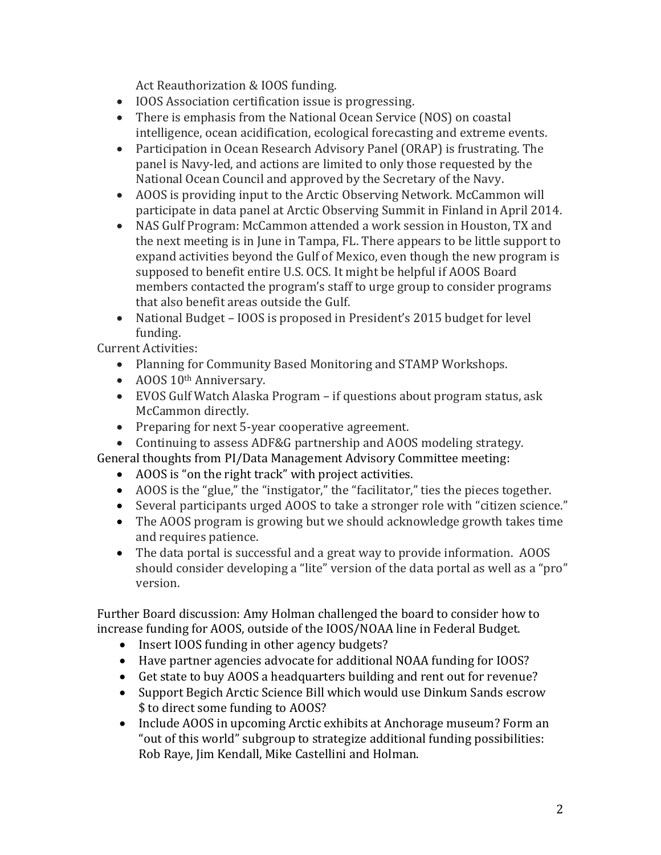Act Reauthorization & IOOS funding.

- IOOS Association certification issue is progressing.
- There is emphasis from the National Ocean Service (NOS) on coastal intelligence, ocean acidification, ecological forecasting and extreme events.
- Participation in Ocean Research Advisory Panel (ORAP) is frustrating. The panel is Navy-led, and actions are limited to only those requested by the National Ocean Council and approved by the Secretary of the Navy.
- AOOS is providing input to the Arctic Observing Network. McCammon will participate in data panel at Arctic Observing Summit in Finland in April 2014.
- NAS Gulf Program: McCammon attended a work session in Houston, TX and the next meeting is in June in Tampa, FL. There appears to be little support to expand activities beyond the Gulf of Mexico, even though the new program is supposed to benefit entire U.S. OCS. It might be helpful if AOOS Board members contacted the program's staff to urge group to consider programs that also benefit areas outside the Gulf.
- National Budget IOOS is proposed in President's 2015 budget for level funding.

Current Activities:

- Planning for Community Based Monitoring and STAMP Workshops.
- AOOS 10<sup>th</sup> Anniversary.
- EVOS Gulf Watch Alaska Program if questions about program status, ask McCammon directly.
- Preparing for next 5-year cooperative agreement.
- Continuing to assess ADF&G partnership and AOOS modeling strategy.

General thoughts from PI/Data Management Advisory Committee meeting:

- AOOS is "on the right track" with project activities.
- AOOS is the "glue," the "instigator," the "facilitator," ties the pieces together.
- Several participants urged AOOS to take a stronger role with "citizen science."
- The AOOS program is growing but we should acknowledge growth takes time and requires patience.
- The data portal is successful and a great way to provide information. AOOS should consider developing a "lite" version of the data portal as well as a "pro" version.

Further Board discussion: Amy Holman challenged the board to consider how to increase funding for AOOS, outside of the IOOS/NOAA line in Federal Budget.

- Insert IOOS funding in other agency budgets?
- Have partner agencies advocate for additional NOAA funding for IOOS?
- Get state to buy AOOS a headquarters building and rent out for revenue?
- Support Begich Arctic Science Bill which would use Dinkum Sands escrow \$ to direct some funding to AOOS?
- Include AOOS in upcoming Arctic exhibits at Anchorage museum? Form an "out of this world" subgroup to strategize additional funding possibilities: Rob Raye, Jim Kendall, Mike Castellini and Holman.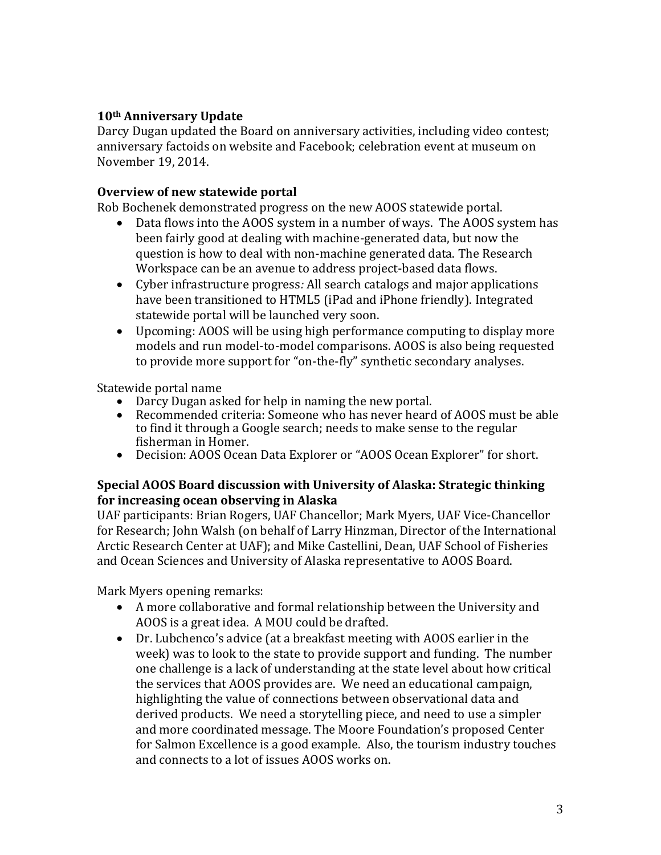## **10th Anniversary Update**

Darcy Dugan updated the Board on anniversary activities, including video contest; anniversary factoids on website and Facebook; celebration event at museum on November 19, 2014.

### **Overview of new statewide portal**

Rob Bochenek demonstrated progress on the new AOOS statewide portal.

- Data flows into the AOOS system in a number of ways. The AOOS system has been fairly good at dealing with machine-generated data, but now the question is how to deal with non-machine generated data. The Research Workspace can be an avenue to address project-based data flows.
- Cyber infrastructure progress*:* All search catalogs and major applications have been transitioned to HTML5 (iPad and iPhone friendly). Integrated statewide portal will be launched very soon.
- Upcoming: AOOS will be using high performance computing to display more models and run model-to-model comparisons. AOOS is also being requested to provide more support for "on-the-fly" synthetic secondary analyses.

Statewide portal name

- Darcy Dugan asked for help in naming the new portal.
- Recommended criteria: Someone who has never heard of AOOS must be able to find it through a Google search; needs to make sense to the regular fisherman in Homer.
- Decision: AOOS Ocean Data Explorer or "AOOS Ocean Explorer" for short.

### **Special AOOS Board discussion with University of Alaska: Strategic thinking for increasing ocean observing in Alaska**

UAF participants: Brian Rogers, UAF Chancellor; Mark Myers, UAF Vice-Chancellor for Research; John Walsh (on behalf of Larry Hinzman, Director of the International Arctic Research Center at UAF); and Mike Castellini, Dean, UAF School of Fisheries and Ocean Sciences and University of Alaska representative to AOOS Board.

Mark Myers opening remarks:

- A more collaborative and formal relationship between the University and AOOS is a great idea. A MOU could be drafted.
- Dr. Lubchenco's advice (at a breakfast meeting with AOOS earlier in the week) was to look to the state to provide support and funding. The number one challenge is a lack of understanding at the state level about how critical the services that AOOS provides are. We need an educational campaign, highlighting the value of connections between observational data and derived products. We need a storytelling piece, and need to use a simpler and more coordinated message. The Moore Foundation's proposed Center for Salmon Excellence is a good example. Also, the tourism industry touches and connects to a lot of issues AOOS works on.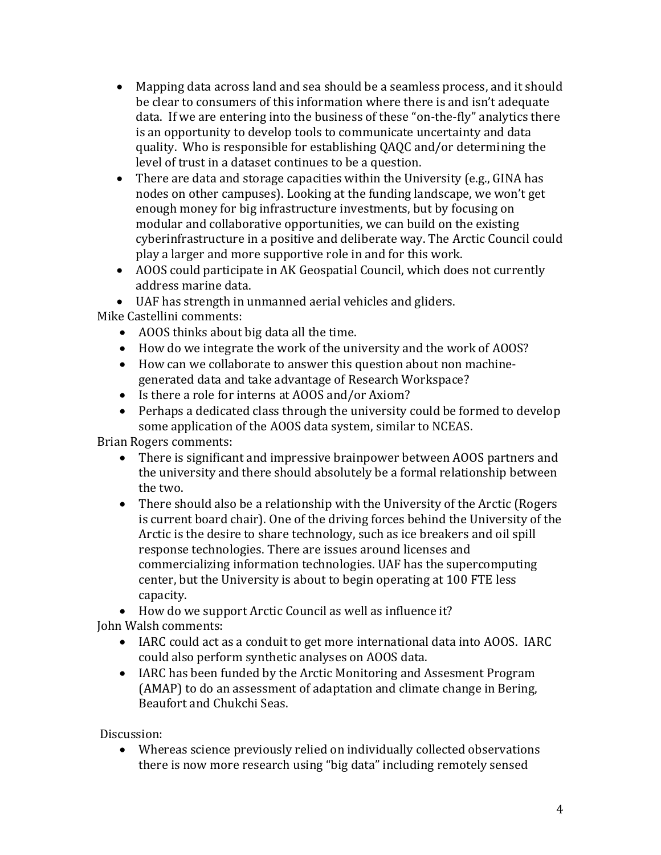- Mapping data across land and sea should be a seamless process, and it should be clear to consumers of this information where there is and isn't adequate data. If we are entering into the business of these "on-the-fly" analytics there is an opportunity to develop tools to communicate uncertainty and data quality. Who is responsible for establishing QAQC and/or determining the level of trust in a dataset continues to be a question.
- There are data and storage capacities within the University (e.g., GINA has nodes on other campuses). Looking at the funding landscape, we won't get enough money for big infrastructure investments, but by focusing on modular and collaborative opportunities, we can build on the existing cyberinfrastructure in a positive and deliberate way. The Arctic Council could play a larger and more supportive role in and for this work.
- AOOS could participate in AK Geospatial Council, which does not currently address marine data.
- UAF has strength in unmanned aerial vehicles and gliders.

Mike Castellini comments:

- AOOS thinks about big data all the time.
- How do we integrate the work of the university and the work of AOOS?
- How can we collaborate to answer this question about non machinegenerated data and take advantage of Research Workspace?
- Is there a role for interns at AOOS and/or Axiom?
- Perhaps a dedicated class through the university could be formed to develop some application of the AOOS data system, similar to NCEAS.

Brian Rogers comments:

- There is significant and impressive brainpower between AOOS partners and the university and there should absolutely be a formal relationship between the two.
- There should also be a relationship with the University of the Arctic (Rogers is current board chair). One of the driving forces behind the University of the Arctic is the desire to share technology, such as ice breakers and oil spill response technologies. There are issues around licenses and commercializing information technologies. UAF has the supercomputing center, but the University is about to begin operating at 100 FTE less capacity.

 How do we support Arctic Council as well as influence it? John Walsh comments:

- IARC could act as a conduit to get more international data into AOOS. IARC could also perform synthetic analyses on AOOS data.
- IARC has been funded by the Arctic Monitoring and Assesment Program (AMAP) to do an assessment of adaptation and climate change in Bering, Beaufort and Chukchi Seas.

Discussion:

 Whereas science previously relied on individually collected observations there is now more research using "big data" including remotely sensed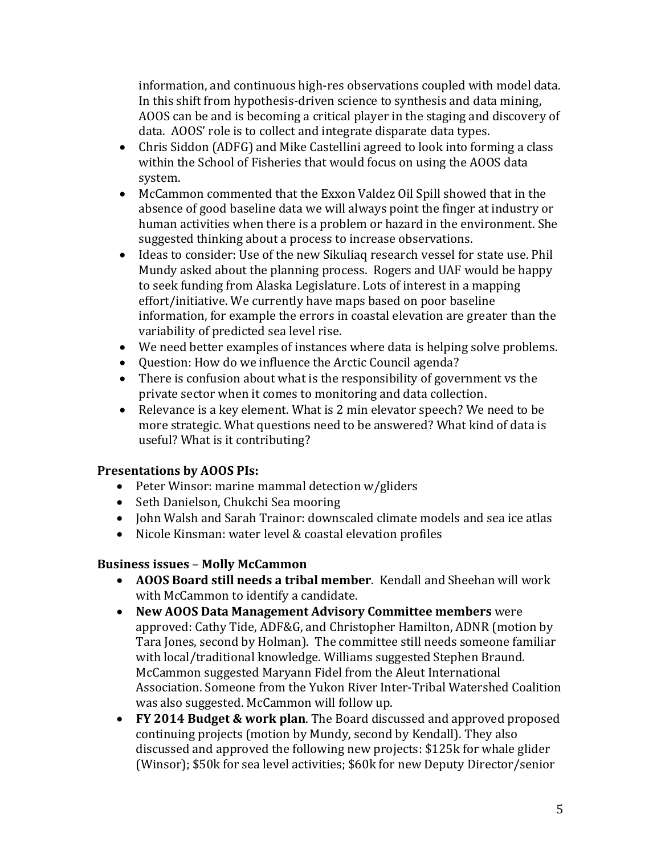information, and continuous high-res observations coupled with model data. In this shift from hypothesis-driven science to synthesis and data mining, AOOS can be and is becoming a critical player in the staging and discovery of data. AOOS' role is to collect and integrate disparate data types.

- Chris Siddon (ADFG) and Mike Castellini agreed to look into forming a class within the School of Fisheries that would focus on using the AOOS data system.
- McCammon commented that the Exxon Valdez Oil Spill showed that in the absence of good baseline data we will always point the finger at industry or human activities when there is a problem or hazard in the environment. She suggested thinking about a process to increase observations.
- Ideas to consider: Use of the new Sikuliaq research vessel for state use. Phil Mundy asked about the planning process. Rogers and UAF would be happy to seek funding from Alaska Legislature. Lots of interest in a mapping effort/initiative. We currently have maps based on poor baseline information, for example the errors in coastal elevation are greater than the variability of predicted sea level rise.
- We need better examples of instances where data is helping solve problems.
- Question: How do we influence the Arctic Council agenda?
- There is confusion about what is the responsibility of government vs the private sector when it comes to monitoring and data collection.
- Relevance is a key element. What is 2 min elevator speech? We need to be more strategic. What questions need to be answered? What kind of data is useful? What is it contributing?

### **Presentations by AOOS PIs:**

- Peter Winsor: marine mammal detection w/gliders
- Seth Danielson, Chukchi Sea mooring
- John Walsh and Sarah Trainor: downscaled climate models and sea ice atlas
- Nicole Kinsman: water level & coastal elevation profiles

### **Business issues** – **Molly McCammon**

- **AOOS Board still needs a tribal member**. Kendall and Sheehan will work with McCammon to identify a candidate.
- **New AOOS Data Management Advisory Committee members** were approved: Cathy Tide, ADF&G, and Christopher Hamilton, ADNR (motion by Tara Jones, second by Holman). The committee still needs someone familiar with local/traditional knowledge. Williams suggested Stephen Braund. McCammon suggested Maryann Fidel from the Aleut International Association. Someone from the Yukon River Inter-Tribal Watershed Coalition was also suggested. McCammon will follow up.
- **FY 2014 Budget & work plan**. The Board discussed and approved proposed continuing projects (motion by Mundy, second by Kendall). They also discussed and approved the following new projects: \$125k for whale glider (Winsor); \$50k for sea level activities; \$60k for new Deputy Director/senior